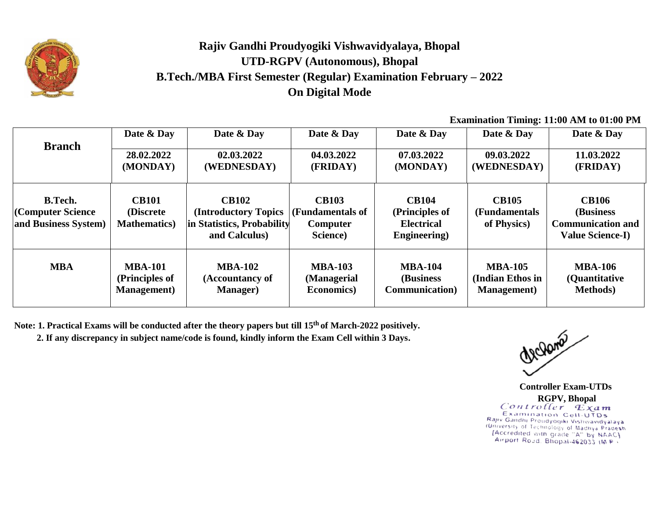

## **Rajiv Gandhi Proudyogiki Vishwavidyalaya, Bhopal UTD-RGPV (Autonomous), Bhopal B.Tech./MBA First Semester (Regular) Examination February – 2022 On Digital Mode**

**Examination Timing: 11:00 AM to 01:00 PM**

|                                                             | Date & Day                                         | Date & Day                                                                          | Date & Day                                               | Date & Day                                                                  | Date & Day                                   | Date & Day                                                                        |
|-------------------------------------------------------------|----------------------------------------------------|-------------------------------------------------------------------------------------|----------------------------------------------------------|-----------------------------------------------------------------------------|----------------------------------------------|-----------------------------------------------------------------------------------|
| <b>Branch</b>                                               | 28.02.2022                                         | 02.03.2022                                                                          | 04.03.2022                                               | 07.03.2022                                                                  | 09.03.2022                                   | 11.03.2022                                                                        |
|                                                             | (MONDAY)                                           | (WEDNESDAY)                                                                         | (FRIDAY)                                                 | (MONDAY)                                                                    | (WEDNESDAY)                                  | (FRIDAY)                                                                          |
| <b>B.Tech.</b><br>(Computer Science<br>and Business System) | <b>CB101</b><br>(Discrete)<br><b>Mathematics</b> ) | <b>CB102</b><br>(Introductory Topics<br>in Statistics, Probability<br>and Calculus) | <b>CB103</b><br>(Fundamentals of<br>Computer<br>Science) | <b>CB104</b><br>(Principles of<br><b>Electrical</b><br><b>Engineering</b> ) | <b>CB105</b><br>(Fundamentals<br>of Physics) | <b>CB106</b><br>(Business)<br><b>Communication and</b><br><b>Value Science-I)</b> |
| <b>MBA</b>                                                  | <b>MBA-101</b>                                     | <b>MBA-102</b>                                                                      | <b>MBA-103</b>                                           | <b>MBA-104</b>                                                              | <b>MBA-105</b>                               | <b>MBA-106</b>                                                                    |
|                                                             | (Principles of                                     | (Accountancy of                                                                     | (Managerial                                              | (Business)                                                                  | (Indian Ethos in                             | (Quantitative                                                                     |
|                                                             | <b>Management</b> )                                | <b>Manager</b> )                                                                    | <b>Economics</b> )                                       | <b>Communication</b> )                                                      | <b>Management</b> )                          | <b>Methods</b> )                                                                  |

**Note: 1. Practical Exams will be conducted after the theory papers but till 15 th of March-2022 positively.**

**2. If any discrepancy in subject name/code is found, kindly inform the Exam Cell within 3 Days.**

McJama

 **Controller Exam-UTDs RGPV, Bhopal**Examination Cell-UTDs Rajiv Gandhi Proudyogiki Vishwavidyalaya (University of Technology of Madhya Pradesh [Accredited with grade "A" by NAAC] Airport Road. Bhopal-462033 (MP)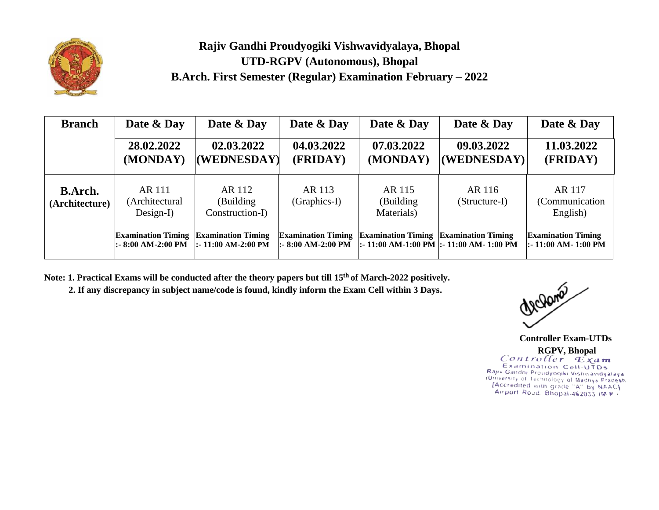

## **Rajiv Gandhi Proudyogiki Vishwavidyalaya, Bhopal UTD-RGPV (Autonomous), Bhopal B.Arch. First Semester (Regular) Examination February – 2022**

| <b>Branch</b>                    | Date & Day                                            | Date & Day                                        | Date & Day                                       | Date & Day                                   | Date & Day                                | Date & Day                                        |
|----------------------------------|-------------------------------------------------------|---------------------------------------------------|--------------------------------------------------|----------------------------------------------|-------------------------------------------|---------------------------------------------------|
|                                  | 28.02.2022<br>(MONDAY)                                | 02.03.2022<br>(WEDNESDAY)                         | 04.03.2022<br>(FRIDAY)                           | 07.03.2022<br>(MONDAY)                       | 09.03.2022<br>(WEDNESDAY)                 | 11.03.2022<br>(FRIDAY)                            |
| <b>B.Arch.</b><br>(Architecture) | AR 111<br>(Architectural<br>$Design-I)$               | AR 112<br>(Building)<br>Construction-I)           | AR 113<br>(Graphics-I)                           | AR 115<br>(Building)<br>Materials)           | AR 116<br>(Structure-I)                   | AR 117<br>(Communication<br>English)              |
|                                  | <b>Examination Timing</b><br>$\vdots$ 8:00 AM-2:00 PM | <b>Examination Timing</b><br> :- 11:00 AM-2:00 PM | <b>Examination Timing</b><br> :- 8:00 AM-2:00 PM | <b>Examination Timing Examination Timing</b> | :- 11:00 AM-1:00 PM  :- 11:00 AM- 1:00 PM | <b>Examination Timing</b><br>:- 11:00 AM- 1:00 PM |

**Note: 1. Practical Exams will be conducted after the theory papers but till 15th of March-2022 positively.**

 **2. If any discrepancy in subject name/code is found, kindly inform the Exam Cell within 3 Days.**

McJama

 **Controller Exam-UTDs RGPV, Bhopal**Examination Cell-UTDs Examination Cell-UTDs<br>Rajiv Gandhi Proudyogiki Vishwavidyalaya<br>(University of Technology of Madhya Pradesh<br>- Arriord Road Rhonal 46.002.48 Pa Airport Road. Bhopal-462033 (M P +